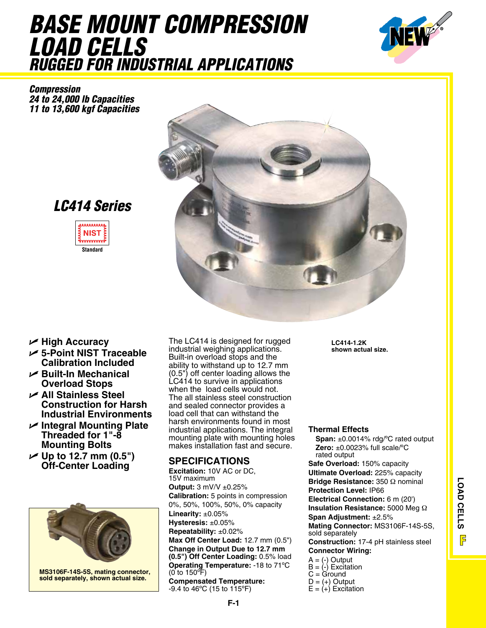## *Base Mount compression load Cells Rugged for Industrial Applications*



*Compression 24 to 24,000 lb Capacities 11 to 13,600 kgf Capacities*



*LC414 Series*



- U **High Accuracy**
- U **5-Point NIST Traceable Calibration Included**
- U **Built-In Mechanical Overload Stops**
- U **All Stainless Steel Construction for Harsh Industrial Environments**
- U **Integral Mounting Plate Threaded for 1"-8 Mounting Bolts**
- **∠ Up to 12.7 mm (0.5") Off-Center Loading SPECIFICATIONS**



**MS3106F-14S-5S, mating connector, sold separately, shown actual size.**

The LC414 is designed for rugged industrial weighing applications. Built-in overload stops and the ability to withstand up to 12.7 mm (0.5") off center loading allows the LC414 to survive in applications when the load cells would not. The all stainless steel construction and sealed connector provides a load cell that can withstand the harsh environments found in most industrial applications. The integral mounting plate with mounting holes makes installation fast and secure.

**Excitation:** 10V AC or DC, 15V maximum **Output:** 3 mV/V ±0.25% **Calibration:** 5 points in compression 0%, 50%, 100%, 50%, 0% capacity **Linearity:** ±0.05% **Hysteresis:** ±0.05% **Repeatability:** ±0.02% **Max Off Center Load:** 12.7 mm (0.5") **Change in Output Due to 12.7 mm (0.5") Off Center Loading:** 0.5% load **Operating Temperature:** -18 to 71ºC (0 to 150ºF) **Compensated Temperature:** -9.4 to 46ºC (15 to 115ºF)

**LC414-1.2K shown actual size.**

## **Thermal Effects**

**Span:** ±0.0014% rdg/ºC rated output **Zero:** ±0.0023% full scale/ºC rated output

**Safe Overload:** 150% capacity **Ultimate Overload:** 225% capacity **Bridge Resistance:** 350 Ω nominal **Protection Level:** IP66 **Electrical Connection:** 6 m (20') **Insulation Resistance:** 5000 Meg Ω **Span Adjustment:** ±2.5% **Mating Connector:** MS3106F-14S-5S, sold separately

**Construction:** 17-4 pH stainless steel **Connector Wiring:**

- $A = (-)$  Output
- $B = (-1)$  Excitation
- $C = G$ round
- $D = (+)$  Output
- $E = (+)$  Excitation